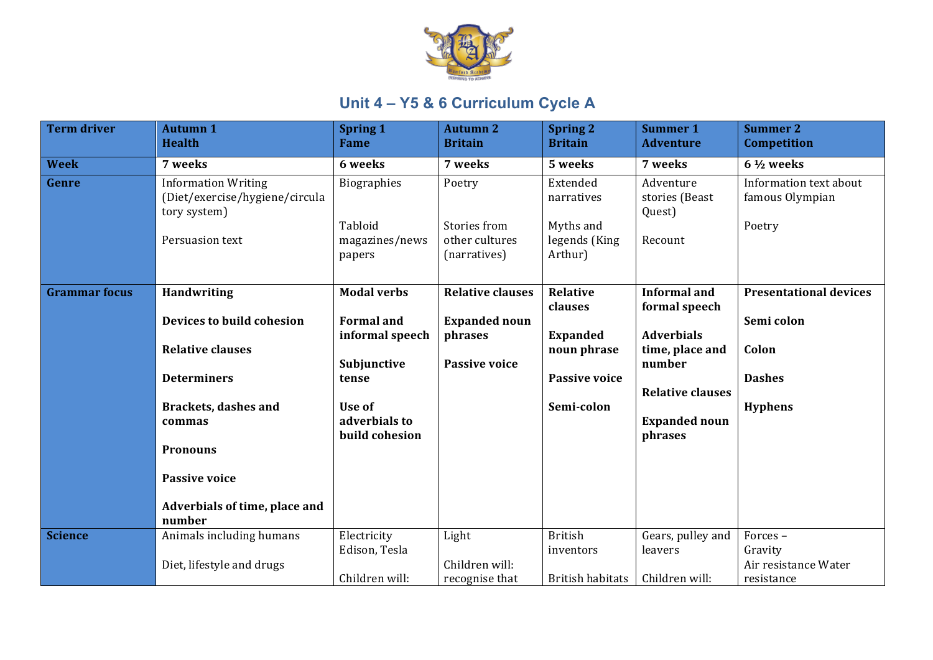

| <b>Term driver</b>   | <b>Autumn 1</b><br><b>Health</b>                                             | <b>Spring 1</b><br><b>Fame</b>      | <b>Autumn 2</b><br><b>Britain</b>              | <b>Spring 2</b><br><b>Britain</b>     | <b>Summer 1</b><br><b>Adventure</b>   | <b>Summer 2</b><br><b>Competition</b>     |
|----------------------|------------------------------------------------------------------------------|-------------------------------------|------------------------------------------------|---------------------------------------|---------------------------------------|-------------------------------------------|
|                      |                                                                              |                                     |                                                |                                       |                                       |                                           |
| <b>Week</b>          | 7 weeks                                                                      | 6 weeks                             | 7 weeks                                        | 5 weeks                               | 7 weeks                               | $6\frac{1}{2}$ weeks                      |
| Genre                | <b>Information Writing</b><br>(Diet/exercise/hygiene/circula<br>tory system) | <b>Biographies</b>                  | Poetry                                         | Extended<br>narratives                | Adventure<br>stories (Beast<br>Quest) | Information text about<br>famous Olympian |
|                      | Persuasion text                                                              | Tabloid<br>magazines/news<br>papers | Stories from<br>other cultures<br>(narratives) | Myths and<br>legends (King<br>Arthur) | Recount                               | Poetry                                    |
|                      |                                                                              |                                     |                                                |                                       |                                       |                                           |
| <b>Grammar focus</b> | <b>Handwriting</b>                                                           | <b>Modal verbs</b>                  | <b>Relative clauses</b>                        | <b>Relative</b>                       | <b>Informal</b> and                   | <b>Presentational devices</b>             |
|                      |                                                                              |                                     |                                                | clauses                               | formal speech                         |                                           |
|                      | Devices to build cohesion                                                    | <b>Formal</b> and                   | <b>Expanded noun</b>                           |                                       |                                       | Semi colon                                |
|                      | <b>Relative clauses</b>                                                      | informal speech                     | phrases                                        | <b>Expanded</b><br>noun phrase        | <b>Adverbials</b><br>time, place and  | Colon                                     |
|                      |                                                                              | Subjunctive                         | <b>Passive voice</b>                           |                                       | number                                |                                           |
|                      | <b>Determiners</b>                                                           | tense                               |                                                | <b>Passive voice</b>                  |                                       | <b>Dashes</b>                             |
|                      |                                                                              |                                     |                                                |                                       | <b>Relative clauses</b>               |                                           |
|                      | <b>Brackets, dashes and</b>                                                  | Use of                              |                                                | Semi-colon                            |                                       | <b>Hyphens</b>                            |
|                      | commas                                                                       | adverbials to                       |                                                |                                       | <b>Expanded noun</b>                  |                                           |
|                      |                                                                              | build cohesion                      |                                                |                                       | phrases                               |                                           |
|                      | <b>Pronouns</b>                                                              |                                     |                                                |                                       |                                       |                                           |
|                      |                                                                              |                                     |                                                |                                       |                                       |                                           |
|                      | <b>Passive voice</b>                                                         |                                     |                                                |                                       |                                       |                                           |
|                      | Adverbials of time, place and                                                |                                     |                                                |                                       |                                       |                                           |
|                      | number                                                                       |                                     |                                                |                                       |                                       |                                           |
| <b>Science</b>       | Animals including humans                                                     | Electricity                         | Light                                          | <b>British</b>                        | Gears, pulley and                     | Forces-                                   |
|                      |                                                                              | Edison, Tesla                       |                                                | inventors                             | leavers                               | Gravity                                   |
|                      | Diet, lifestyle and drugs                                                    |                                     | Children will:                                 |                                       |                                       | Air resistance Water                      |
|                      |                                                                              | Children will:                      | recognise that                                 | <b>British habitats</b>               | Children will:                        | resistance                                |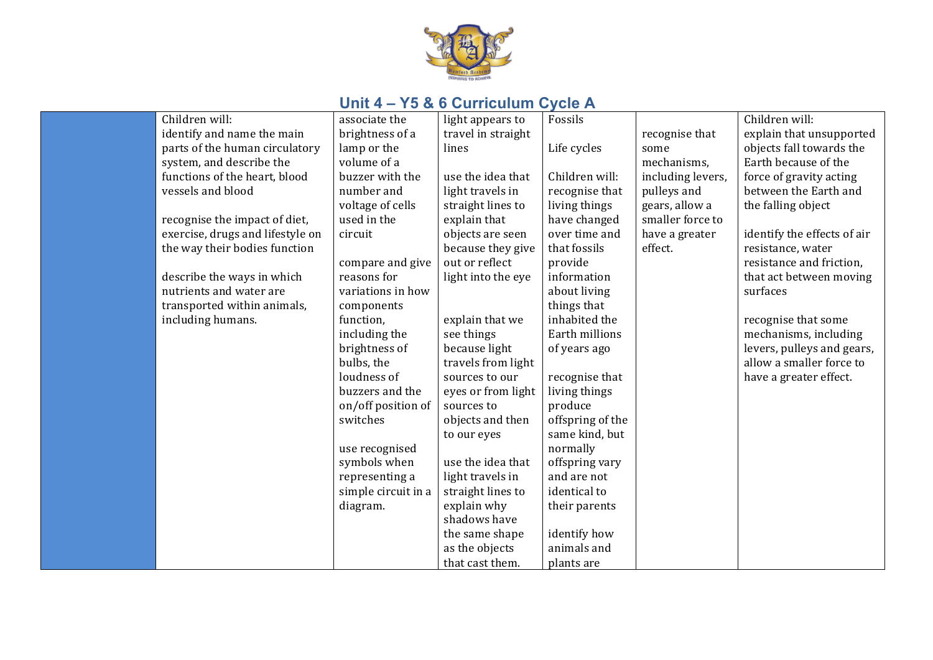

| Children will:                   | associate the       | light appears to   | Fossils          |                   | Children will:              |
|----------------------------------|---------------------|--------------------|------------------|-------------------|-----------------------------|
| identify and name the main       | brightness of a     | travel in straight |                  | recognise that    | explain that unsupported    |
| parts of the human circulatory   | lamp or the         | lines              | Life cycles      | some              | objects fall towards the    |
| system, and describe the         | volume of a         |                    |                  | mechanisms,       | Earth because of the        |
| functions of the heart, blood    | buzzer with the     | use the idea that  | Children will:   | including levers, | force of gravity acting     |
| vessels and blood                | number and          | light travels in   | recognise that   | pulleys and       | between the Earth and       |
|                                  | voltage of cells    | straight lines to  | living things    | gears, allow a    | the falling object          |
| recognise the impact of diet,    | used in the         | explain that       | have changed     | smaller force to  |                             |
| exercise, drugs and lifestyle on | circuit             | objects are seen   | over time and    | have a greater    | identify the effects of air |
| the way their bodies function    |                     | because they give  | that fossils     | effect.           | resistance, water           |
|                                  | compare and give    | out or reflect     | provide          |                   | resistance and friction,    |
| describe the ways in which       | reasons for         | light into the eye | information      |                   | that act between moving     |
| nutrients and water are          | variations in how   |                    | about living     |                   | surfaces                    |
| transported within animals,      | components          |                    | things that      |                   |                             |
| including humans.                | function,           | explain that we    | inhabited the    |                   | recognise that some         |
|                                  | including the       | see things         | Earth millions   |                   | mechanisms, including       |
|                                  | brightness of       | because light      | of years ago     |                   | levers, pulleys and gears,  |
|                                  | bulbs, the          | travels from light |                  |                   | allow a smaller force to    |
|                                  | loudness of         | sources to our     | recognise that   |                   | have a greater effect.      |
|                                  | buzzers and the     | eyes or from light | living things    |                   |                             |
|                                  | on/off position of  | sources to         | produce          |                   |                             |
|                                  | switches            | objects and then   | offspring of the |                   |                             |
|                                  |                     | to our eyes        | same kind, but   |                   |                             |
|                                  | use recognised      |                    | normally         |                   |                             |
|                                  | symbols when        | use the idea that  | offspring vary   |                   |                             |
|                                  | representing a      | light travels in   | and are not      |                   |                             |
|                                  | simple circuit in a | straight lines to  | identical to     |                   |                             |
|                                  | diagram.            | explain why        | their parents    |                   |                             |
|                                  |                     | shadows have       |                  |                   |                             |
|                                  |                     | the same shape     | identify how     |                   |                             |
|                                  |                     | as the objects     | animals and      |                   |                             |
|                                  |                     | that cast them.    | plants are       |                   |                             |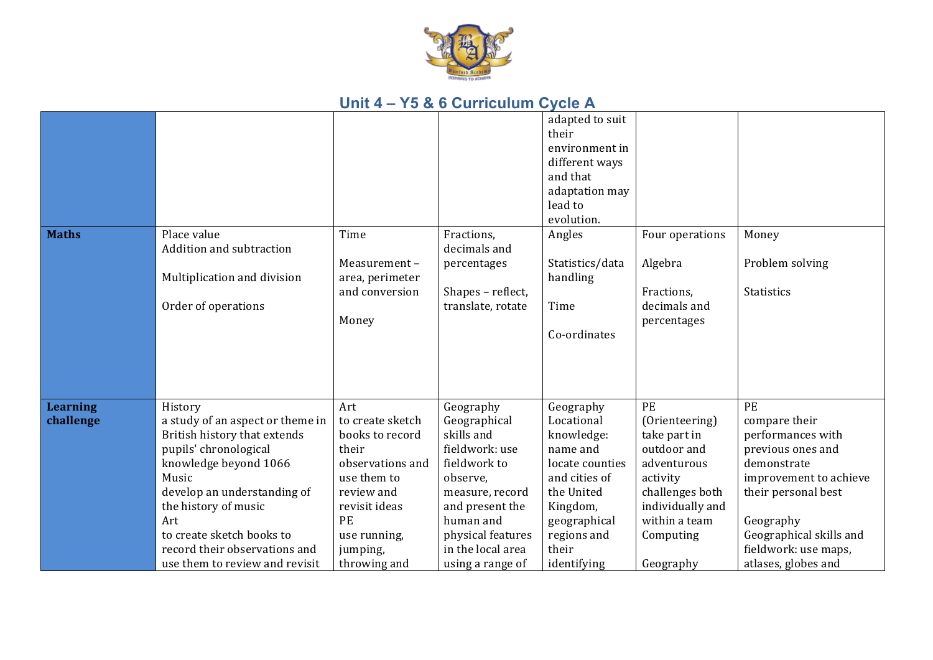

|                              |                                                                                                                                                                                                                                                                                                      |                                                                                                                                                                                |                                                                                                                                                                                                        | adapted to suit<br>their<br>environment in<br>different ways<br>and that<br>adaptation may<br>lead to<br>evolution.                                                    |                                                                                                                                                                  |                                                                                                                                                                                                                      |
|------------------------------|------------------------------------------------------------------------------------------------------------------------------------------------------------------------------------------------------------------------------------------------------------------------------------------------------|--------------------------------------------------------------------------------------------------------------------------------------------------------------------------------|--------------------------------------------------------------------------------------------------------------------------------------------------------------------------------------------------------|------------------------------------------------------------------------------------------------------------------------------------------------------------------------|------------------------------------------------------------------------------------------------------------------------------------------------------------------|----------------------------------------------------------------------------------------------------------------------------------------------------------------------------------------------------------------------|
| <b>Maths</b>                 | Place value<br>Addition and subtraction<br>Multiplication and division<br>Order of operations                                                                                                                                                                                                        | Time<br>Measurement-<br>area, perimeter<br>and conversion<br>Money                                                                                                             | Fractions,<br>decimals and<br>percentages<br>Shapes - reflect,<br>translate, rotate                                                                                                                    | Angles<br>Statistics/data<br>handling<br>Time<br>Co-ordinates                                                                                                          | Four operations<br>Algebra<br>Fractions,<br>decimals and<br>percentages                                                                                          | Money<br>Problem solving<br><b>Statistics</b>                                                                                                                                                                        |
| <b>Learning</b><br>challenge | History<br>a study of an aspect or theme in<br>British history that extends<br>pupils' chronological<br>knowledge beyond 1066<br>Music<br>develop an understanding of<br>the history of music<br>Art<br>to create sketch books to<br>record their observations and<br>use them to review and revisit | Art<br>to create sketch<br>books to record<br>their<br>observations and<br>use them to<br>review and<br>revisit ideas<br><b>PE</b><br>use running,<br>jumping,<br>throwing and | Geography<br>Geographical<br>skills and<br>fieldwork: use<br>fieldwork to<br>observe,<br>measure, record<br>and present the<br>human and<br>physical features<br>in the local area<br>using a range of | Geography<br>Locational<br>knowledge:<br>name and<br>locate counties<br>and cities of<br>the United<br>Kingdom,<br>geographical<br>regions and<br>their<br>identifying | PE<br>(Orienteering)<br>take part in<br>outdoor and<br>adventurous<br>activity<br>challenges both<br>individually and<br>within a team<br>Computing<br>Geography | PE<br>compare their<br>performances with<br>previous ones and<br>demonstrate<br>improvement to achieve<br>their personal best<br>Geography<br>Geographical skills and<br>fieldwork: use maps,<br>atlases, globes and |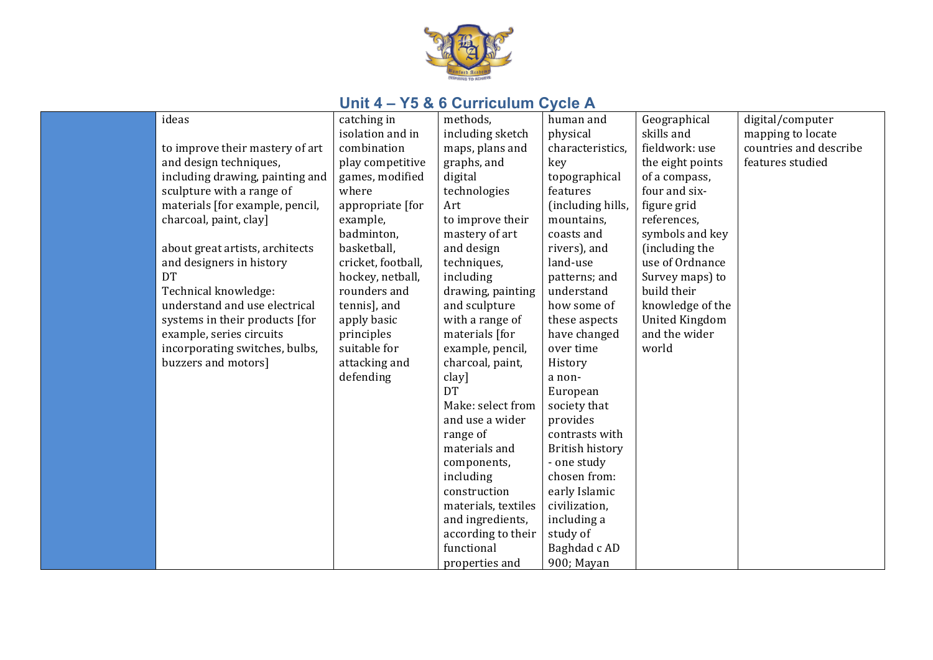

| ideas                           | catching in        | methods,            | human and         | Geographical          | digital/computer       |
|---------------------------------|--------------------|---------------------|-------------------|-----------------------|------------------------|
|                                 | isolation and in   | including sketch    | physical          | skills and            | mapping to locate      |
| to improve their mastery of art | combination        | maps, plans and     | characteristics,  | fieldwork: use        | countries and describe |
| and design techniques,          | play competitive   | graphs, and         | key               | the eight points      | features studied       |
| including drawing, painting and | games, modified    | digital             | topographical     | of a compass,         |                        |
| sculpture with a range of       | where              | technologies        | features          | four and six-         |                        |
| materials [for example, pencil, | appropriate [for   | Art                 | (including hills, | figure grid           |                        |
| charcoal, paint, clay]          | example,           | to improve their    | mountains,        | references,           |                        |
|                                 | badminton,         | mastery of art      | coasts and        | symbols and key       |                        |
| about great artists, architects | basketball,        | and design          | rivers), and      | (including the        |                        |
| and designers in history        | cricket, football, | techniques,         | land-use          | use of Ordnance       |                        |
| <b>DT</b>                       | hockey, netball,   | including           | patterns; and     | Survey maps) to       |                        |
| Technical knowledge:            | rounders and       | drawing, painting   | understand        | build their           |                        |
| understand and use electrical   | tennis], and       | and sculpture       | how some of       | knowledge of the      |                        |
| systems in their products [for  | apply basic        | with a range of     | these aspects     | <b>United Kingdom</b> |                        |
| example, series circuits        | principles         | materials [for      | have changed      | and the wider         |                        |
| incorporating switches, bulbs,  | suitable for       | example, pencil,    | over time         | world                 |                        |
| buzzers and motors]             | attacking and      | charcoal, paint,    | History           |                       |                        |
|                                 | defending          | clay]               | a non-            |                       |                        |
|                                 |                    | <b>DT</b>           | European          |                       |                        |
|                                 |                    | Make: select from   | society that      |                       |                        |
|                                 |                    | and use a wider     | provides          |                       |                        |
|                                 |                    | range of            | contrasts with    |                       |                        |
|                                 |                    | materials and       | British history   |                       |                        |
|                                 |                    | components,         | - one study       |                       |                        |
|                                 |                    | including           | chosen from:      |                       |                        |
|                                 |                    | construction        | early Islamic     |                       |                        |
|                                 |                    | materials, textiles | civilization,     |                       |                        |
|                                 |                    | and ingredients,    | including a       |                       |                        |
|                                 |                    | according to their  | study of          |                       |                        |
|                                 |                    | functional          | Baghdad c AD      |                       |                        |
|                                 |                    | properties and      | 900; Mayan        |                       |                        |